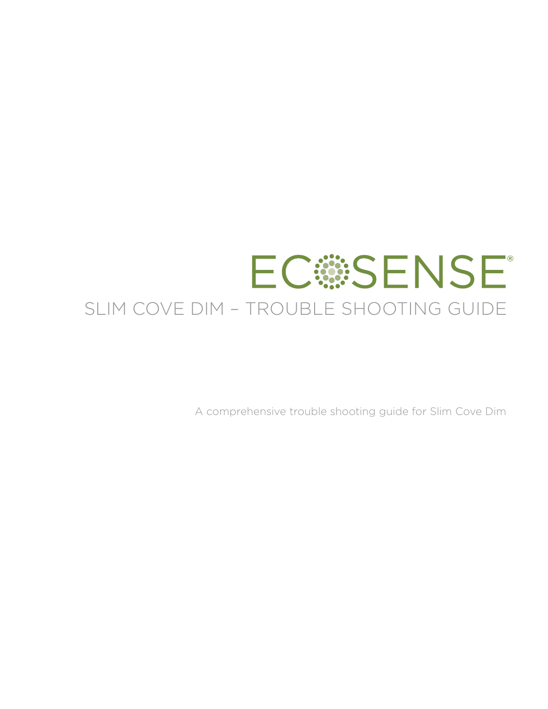# **ECSSENSE** SLIM COVE DIM – TROUBLE SHOOTING GUIDE

A comprehensive trouble shooting guide for Slim Cove Dim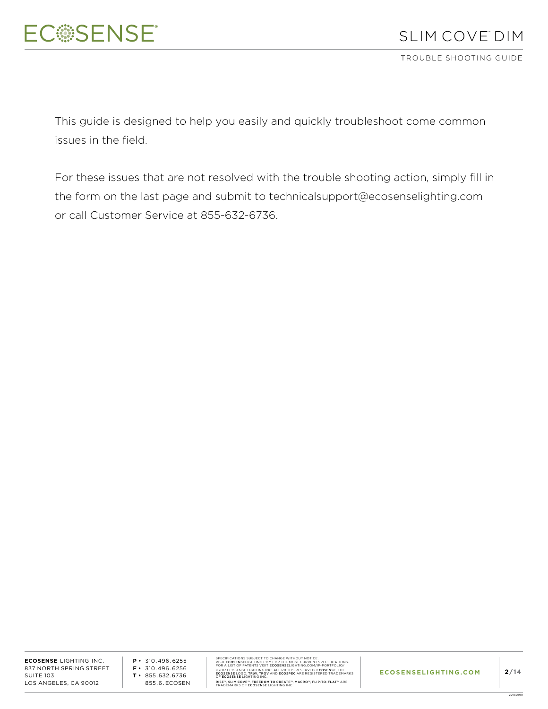TROUBLE SHOOTING GUIDE

This guide is designed to help you easily and quickly troubleshoot come common issues in the field.

For these issues that are not resolved with the trouble shooting action, simply fill in the form on the last page and submit to technicalsupport@ecosenselighting.com or call Customer Service at 855-632-6736.

**ECOSENSE** LIGHTING INC. 837 NORTH SPRING STREET SUITE 103 LOS ANGELES, CA 90012

**P •** 310.496.6255 **F •** 310.496.6256 **T •** 855.632.6736 855.6.ECOSEN SPECIFICATIONS SUBJECT TO CHANGE WITHOUT NOTICE.<br>VISIT **ECOSENSE**LIGHTING.COM FOR THE MOST CURRENT SPECIFICATIONS.<br>FOR A LIST OF PATENTS VISIT **ECOSENSE**LIGHTING.COM/IP-PORTFOLIO/ ©2017 ECOSENSE LIGHTING INC. ALL RIGHTS RESERVED. **ECOSENSE**, THE<br>**ECOSENSE** LOGO, **TROV, TROV** AND **ECOSPEC** ARE REGISTERED TRADEMARKS<br>OF **ECOSENSE** LIGHTING INC. RISE™, SLIM COVE™, FREEDOM TO CREATE™, MACRO™, FLIP-TO-FLAT™ ARE<br>TRADEMARKS OF **ECOSENSE** LIGHTING INC.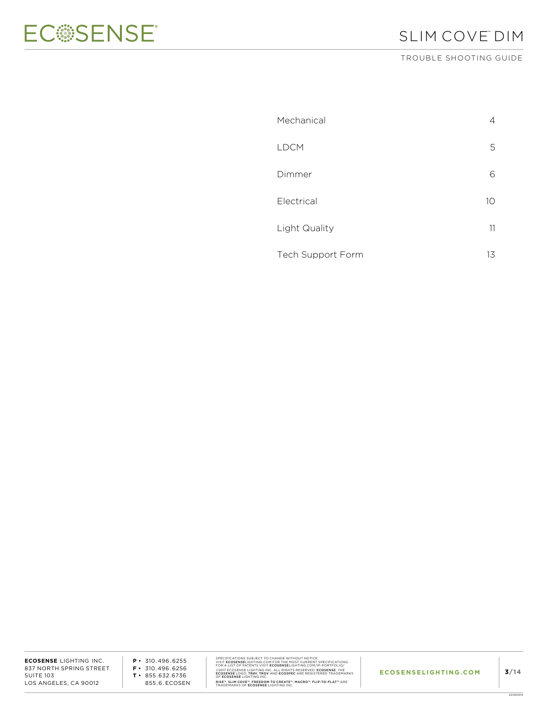

## SLIM COVE™ DIM

TROUBLE SHOOTING GUIDE

| Mechanical               | 4  |
|--------------------------|----|
| <b>LDCM</b>              | 5  |
| Dimmer                   | 6  |
| Electrical               | 10 |
| Light Quality            | 11 |
| <b>Tech Support Form</b> | 13 |

**ECOSENSE** LIGHTING INC. 837 NORTH SPRING STREET SUITE 103 LOS ANGELES, CA 90012

**P •** 310.496.6255 **F •** 310.496.6256 **T •** 855.632.6736 855.6.ECOSEN SPECIFICATIONS SUBJECT TO CHANGE WITHOUT NOTICE.<br>VISIT ECOSENSELIGHTING.COM FOR THE MOST CURRENT SPECIFICATIONS.<br>FOR A LIST OF PATENTS VISIT ECOSENSELIGHTING.COM/IP-PORTFOLIO/<br>@2017 ECOSENSE LIGHTING INC. ALL RIGHTS RESERV RISE™, SLIM COVE™, FREEDOM TO CREATE™, MACRO™, FLIP-TO-FLAT™ ARE<br>TRADEMARKS OF **ECOSENSE** LIGHTING INC.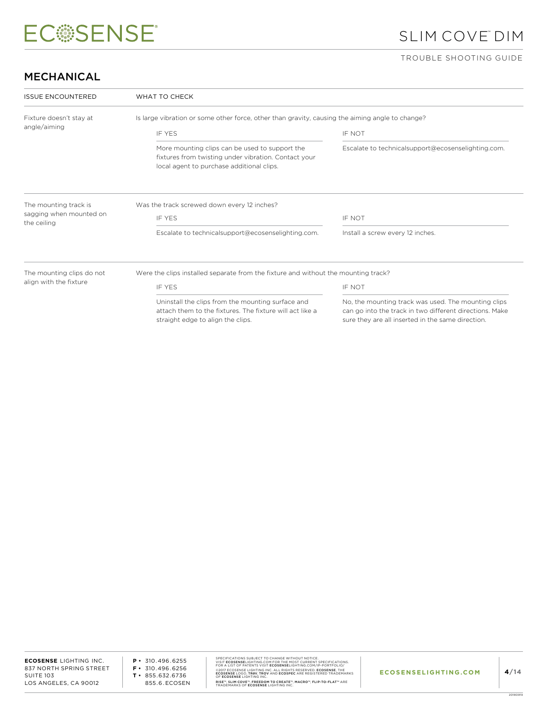# SLIM COVE™ DIM

#### TROUBLE SHOOTING GUIDE

### MECHANICAL

| <b>ISSUE ENCOUNTERED</b>                                                                                        | WHAT TO CHECK                                                                                                                                       |                                                                                                                                                                     |  |
|-----------------------------------------------------------------------------------------------------------------|-----------------------------------------------------------------------------------------------------------------------------------------------------|---------------------------------------------------------------------------------------------------------------------------------------------------------------------|--|
| Fixture doesn't stay at                                                                                         | Is large vibration or some other force, other than gravity, causing the aiming angle to change?                                                     |                                                                                                                                                                     |  |
| angle/aiming                                                                                                    | <b>IF YES</b>                                                                                                                                       | IF NOT                                                                                                                                                              |  |
|                                                                                                                 | More mounting clips can be used to support the<br>fixtures from twisting under vibration. Contact your<br>local agent to purchase additional clips. | Escalate to technicalsupport@ecosenselighting.com.                                                                                                                  |  |
| The mounting track is                                                                                           | Was the track screwed down every 12 inches?                                                                                                         |                                                                                                                                                                     |  |
| sagging when mounted on<br>the ceiling                                                                          | IF YES                                                                                                                                              | <b>IF NOT</b>                                                                                                                                                       |  |
|                                                                                                                 | Escalate to technicalsupport@ecosenselighting.com.                                                                                                  | Install a screw every 12 inches.                                                                                                                                    |  |
| The mounting clips do not<br>Were the clips installed separate from the fixture and without the mounting track? |                                                                                                                                                     |                                                                                                                                                                     |  |
| align with the fixture                                                                                          | <b>IF YES</b>                                                                                                                                       | IF NOT                                                                                                                                                              |  |
|                                                                                                                 | Uninstall the clips from the mounting surface and<br>attach them to the fixtures. The fixture will act like a<br>straight edge to align the clips.  | No, the mounting track was used. The mounting clips<br>can go into the track in two different directions. Make<br>sure they are all inserted in the same direction. |  |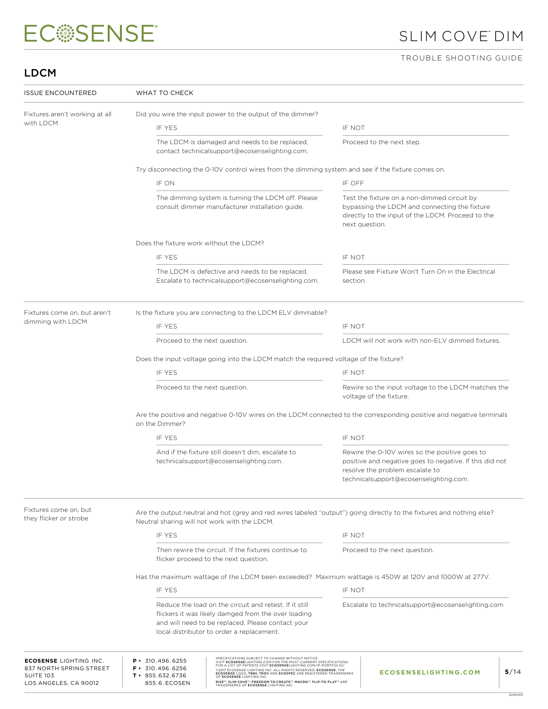# SLIM COVE™ DIM

### TROUBLE SHOOTING GUIDE

## LDCM

| <b>ISSUE ENCOUNTERED</b>                                                                              | WHAT TO CHECK                                                                                                                          |                                                                                                                                                                                                                                                                                                                                                                                                                                                                                      |          |                                                                                                                                                                                        |  |  |
|-------------------------------------------------------------------------------------------------------|----------------------------------------------------------------------------------------------------------------------------------------|--------------------------------------------------------------------------------------------------------------------------------------------------------------------------------------------------------------------------------------------------------------------------------------------------------------------------------------------------------------------------------------------------------------------------------------------------------------------------------------|----------|----------------------------------------------------------------------------------------------------------------------------------------------------------------------------------------|--|--|
| Fixtures aren't working at all                                                                        |                                                                                                                                        | Did you wire the input power to the output of the dimmer?                                                                                                                                                                                                                                                                                                                                                                                                                            |          |                                                                                                                                                                                        |  |  |
| with LDCM                                                                                             | IF YES                                                                                                                                 |                                                                                                                                                                                                                                                                                                                                                                                                                                                                                      | IF NOT   |                                                                                                                                                                                        |  |  |
|                                                                                                       |                                                                                                                                        | The LDCM is damaged and needs to be replaced,<br>contact technicalsupport@ecosenselighting.com.                                                                                                                                                                                                                                                                                                                                                                                      |          | Proceed to the next step.                                                                                                                                                              |  |  |
|                                                                                                       |                                                                                                                                        | Try disconnecting the 0-10V control wires from the dimming system and see if the fixture comes on.                                                                                                                                                                                                                                                                                                                                                                                   |          |                                                                                                                                                                                        |  |  |
|                                                                                                       | IF ON                                                                                                                                  |                                                                                                                                                                                                                                                                                                                                                                                                                                                                                      | IF OFF   |                                                                                                                                                                                        |  |  |
|                                                                                                       |                                                                                                                                        | The dimming system is turning the LDCM off. Please<br>consult dimmer manufacturer installation guide.                                                                                                                                                                                                                                                                                                                                                                                |          | Test the fixture on a non-dimmed circuit by<br>bypassing the LDCM and connecting the fixture<br>directly to the input of the LDCM. Proceed to the<br>next question.                    |  |  |
|                                                                                                       | Does the fixture work without the LDCM?                                                                                                |                                                                                                                                                                                                                                                                                                                                                                                                                                                                                      |          |                                                                                                                                                                                        |  |  |
|                                                                                                       | IF YES                                                                                                                                 |                                                                                                                                                                                                                                                                                                                                                                                                                                                                                      | IF NOT   |                                                                                                                                                                                        |  |  |
|                                                                                                       |                                                                                                                                        | The LDCM is defective and needs to be replaced.<br>Escalate to technicalsupport@ecosenselighting.com.                                                                                                                                                                                                                                                                                                                                                                                | section. | Please see Fixture Won't Turn On in the Electrical                                                                                                                                     |  |  |
| Fixtures come on, but aren't                                                                          |                                                                                                                                        | Is the fixture you are connecting to the LDCM ELV dimmable?                                                                                                                                                                                                                                                                                                                                                                                                                          |          |                                                                                                                                                                                        |  |  |
| dimming with LDCM                                                                                     | <b>IF YES</b>                                                                                                                          |                                                                                                                                                                                                                                                                                                                                                                                                                                                                                      | IF NOT   |                                                                                                                                                                                        |  |  |
|                                                                                                       | Proceed to the next question.                                                                                                          |                                                                                                                                                                                                                                                                                                                                                                                                                                                                                      |          | LDCM will not work with non-ELV dimmed fixtures.                                                                                                                                       |  |  |
|                                                                                                       | Does the input voltage going into the LDCM match the required voltage of the fixture?                                                  |                                                                                                                                                                                                                                                                                                                                                                                                                                                                                      |          |                                                                                                                                                                                        |  |  |
|                                                                                                       | IF YES                                                                                                                                 |                                                                                                                                                                                                                                                                                                                                                                                                                                                                                      | IF NOT   |                                                                                                                                                                                        |  |  |
|                                                                                                       | Proceed to the next question.                                                                                                          |                                                                                                                                                                                                                                                                                                                                                                                                                                                                                      |          | Rewire so the input voltage to the LDCM matches the<br>voltage of the fixture.                                                                                                         |  |  |
|                                                                                                       | Are the positive and negative 0-10V wires on the LDCM connected to the corresponding positive and negative terminals<br>on the Dimmer? |                                                                                                                                                                                                                                                                                                                                                                                                                                                                                      |          |                                                                                                                                                                                        |  |  |
|                                                                                                       | IF YES                                                                                                                                 |                                                                                                                                                                                                                                                                                                                                                                                                                                                                                      | IF NOT   |                                                                                                                                                                                        |  |  |
|                                                                                                       |                                                                                                                                        | And if the fixture still doesn't dim, escalate to<br>technicalsupport@ecosenselighting.com.                                                                                                                                                                                                                                                                                                                                                                                          |          | Rewire the 0-10V wires so the positive goes to<br>positive and negative goes to negative. If this did not<br>resolve the problem escalate to<br>technicalsupport@ecosenselighting.com. |  |  |
| Fixtures come on, but<br>they flicker or strobe                                                       | Neutral sharing will not work with the LDCM.                                                                                           |                                                                                                                                                                                                                                                                                                                                                                                                                                                                                      |          | Are the output neutral and hot (grey and red wires labeled "output") going directly to the fixtures and nothing else?                                                                  |  |  |
|                                                                                                       | IF YES                                                                                                                                 |                                                                                                                                                                                                                                                                                                                                                                                                                                                                                      | IF NOT   |                                                                                                                                                                                        |  |  |
|                                                                                                       |                                                                                                                                        | Then rewire the circuit. If the fixtures continue to<br>flicker proceed to the next question.                                                                                                                                                                                                                                                                                                                                                                                        |          | Proceed to the next question.                                                                                                                                                          |  |  |
|                                                                                                       | Has the maximum wattage of the LDCM been exceeded? Maximum wattage is 450W at 120V and 1000W at 277V.                                  |                                                                                                                                                                                                                                                                                                                                                                                                                                                                                      |          |                                                                                                                                                                                        |  |  |
|                                                                                                       | IF YFS                                                                                                                                 |                                                                                                                                                                                                                                                                                                                                                                                                                                                                                      | IF NOT   |                                                                                                                                                                                        |  |  |
|                                                                                                       |                                                                                                                                        | Reduce the load on the circuit and retest. If it still<br>flickers it was likely damged from the over loading<br>and will need to be replaced. Please contact your<br>local distributor to order a replacement.                                                                                                                                                                                                                                                                      |          | Escalate to technical support@ecosenselighting.com                                                                                                                                     |  |  |
| <b>ECOSENSE LIGHTING INC.</b><br>837 NORTH SPRING STREET<br><b>SUITE 103</b><br>LOS ANGELES, CA 90012 | $P \cdot 310.496.6255$<br>$F \cdot 310.496.6256$<br>$T \cdot 855.632.6736$<br>855.6.ECOSEN                                             | SPECIFICATIONS SUBJECT TO CHANGE WITHOUT NOTICE.<br>VISIT <b>ECOSENSE</b> LIGHTING.COM FOR THE MOST CURRENT SPECIFICATIONS.<br>FOR A LIST OF PATENTS VISIT <b>ECOSENSE</b> LIGHTING.COM/IP-PORTFOLIO/<br>@2017 ECOSENSE LIGHTING INC. ALL RIGHTS RESERVED. ECOSENSE, THE<br>ECOSENSE LOGO, TROV, TROV AND ECOSPEC ARE REGISTERED TRADEMARKS<br>OF ECOSENSE LIGHTING INC.<br>RISE™, SLIM COVE™, FREEDOM TO CREATE™, MACRO™, FLIP-TO-FLAT™ ARE<br>TRADEMARKS OF ECOSENSE LIGHTING INC. |          | 5/14<br><b>ECOSENSELIGHTING.COM</b>                                                                                                                                                    |  |  |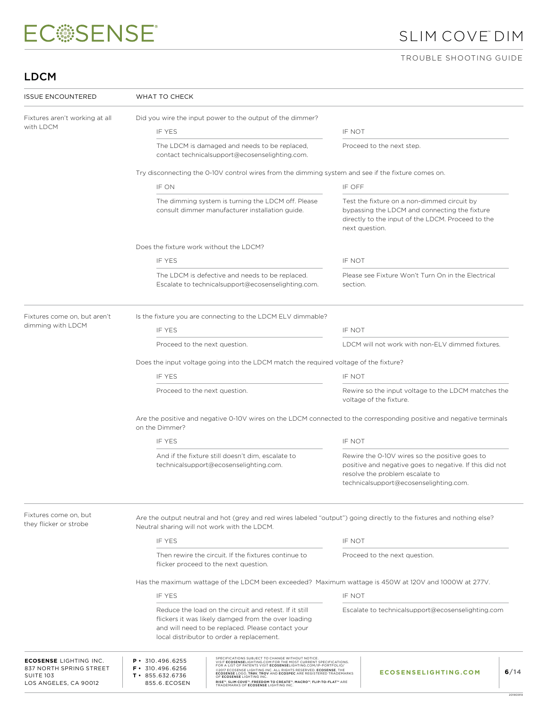# SLIM COVE™ DIM

### TROUBLE SHOOTING GUIDE

## LDCM

| <b>ISSUE ENCOUNTERED</b>                                                                              | WHAT TO CHECK                                                                                                                          |                                                                                                                                                                                                                                                                                                                                                                                                                                                                      |          |                                                                                                                                                                                        |      |  |
|-------------------------------------------------------------------------------------------------------|----------------------------------------------------------------------------------------------------------------------------------------|----------------------------------------------------------------------------------------------------------------------------------------------------------------------------------------------------------------------------------------------------------------------------------------------------------------------------------------------------------------------------------------------------------------------------------------------------------------------|----------|----------------------------------------------------------------------------------------------------------------------------------------------------------------------------------------|------|--|
| Fixtures aren't working at all                                                                        |                                                                                                                                        | Did you wire the input power to the output of the dimmer?                                                                                                                                                                                                                                                                                                                                                                                                            |          |                                                                                                                                                                                        |      |  |
| with LDCM                                                                                             | IF YES                                                                                                                                 |                                                                                                                                                                                                                                                                                                                                                                                                                                                                      | IF NOT   |                                                                                                                                                                                        |      |  |
|                                                                                                       |                                                                                                                                        | The LDCM is damaged and needs to be replaced,<br>contact technicalsupport@ecosenselighting.com.                                                                                                                                                                                                                                                                                                                                                                      |          | Proceed to the next step.                                                                                                                                                              |      |  |
|                                                                                                       |                                                                                                                                        | Try disconnecting the 0-10V control wires from the dimming system and see if the fixture comes on.                                                                                                                                                                                                                                                                                                                                                                   |          |                                                                                                                                                                                        |      |  |
|                                                                                                       | IF ON                                                                                                                                  |                                                                                                                                                                                                                                                                                                                                                                                                                                                                      | IF OFF   |                                                                                                                                                                                        |      |  |
|                                                                                                       |                                                                                                                                        | The dimming system is turning the LDCM off. Please<br>consult dimmer manufacturer installation guide.                                                                                                                                                                                                                                                                                                                                                                |          | Test the fixture on a non-dimmed circuit by<br>bypassing the LDCM and connecting the fixture<br>directly to the input of the LDCM. Proceed to the<br>next question.                    |      |  |
|                                                                                                       | Does the fixture work without the LDCM?                                                                                                |                                                                                                                                                                                                                                                                                                                                                                                                                                                                      |          |                                                                                                                                                                                        |      |  |
|                                                                                                       | <b>IF YES</b>                                                                                                                          |                                                                                                                                                                                                                                                                                                                                                                                                                                                                      | IF NOT   |                                                                                                                                                                                        |      |  |
|                                                                                                       |                                                                                                                                        | The LDCM is defective and needs to be replaced.<br>Escalate to technicalsupport@ecosenselighting.com.                                                                                                                                                                                                                                                                                                                                                                | section. | Please see Fixture Won't Turn On in the Electrical                                                                                                                                     |      |  |
| Fixtures come on, but aren't                                                                          |                                                                                                                                        | Is the fixture you are connecting to the LDCM ELV dimmable?                                                                                                                                                                                                                                                                                                                                                                                                          |          |                                                                                                                                                                                        |      |  |
| dimming with LDCM                                                                                     | IF YES                                                                                                                                 |                                                                                                                                                                                                                                                                                                                                                                                                                                                                      | IF NOT   |                                                                                                                                                                                        |      |  |
|                                                                                                       | Proceed to the next question.                                                                                                          |                                                                                                                                                                                                                                                                                                                                                                                                                                                                      |          | LDCM will not work with non-ELV dimmed fixtures.                                                                                                                                       |      |  |
|                                                                                                       | Does the input voltage going into the LDCM match the required voltage of the fixture?                                                  |                                                                                                                                                                                                                                                                                                                                                                                                                                                                      |          |                                                                                                                                                                                        |      |  |
|                                                                                                       | <b>IF YES</b>                                                                                                                          |                                                                                                                                                                                                                                                                                                                                                                                                                                                                      | IF NOT   |                                                                                                                                                                                        |      |  |
|                                                                                                       | Proceed to the next question.                                                                                                          |                                                                                                                                                                                                                                                                                                                                                                                                                                                                      |          | Rewire so the input voltage to the LDCM matches the<br>voltage of the fixture.                                                                                                         |      |  |
|                                                                                                       | Are the positive and negative 0-10V wires on the LDCM connected to the corresponding positive and negative terminals<br>on the Dimmer? |                                                                                                                                                                                                                                                                                                                                                                                                                                                                      |          |                                                                                                                                                                                        |      |  |
|                                                                                                       | IF YES                                                                                                                                 |                                                                                                                                                                                                                                                                                                                                                                                                                                                                      | IF NOT   |                                                                                                                                                                                        |      |  |
|                                                                                                       |                                                                                                                                        | And if the fixture still doesn't dim, escalate to<br>technicalsupport@ecosenselighting.com.                                                                                                                                                                                                                                                                                                                                                                          |          | Rewire the 0-10V wires so the positive goes to<br>positive and negative goes to negative. If this did not<br>resolve the problem escalate to<br>technicalsupport@ecosenselighting.com. |      |  |
| Fixtures come on, but<br>they flicker or strobe                                                       | Neutral sharing will not work with the LDCM.                                                                                           |                                                                                                                                                                                                                                                                                                                                                                                                                                                                      |          | Are the output neutral and hot (grey and red wires labeled "output") going directly to the fixtures and nothing else?                                                                  |      |  |
|                                                                                                       | IF YES                                                                                                                                 |                                                                                                                                                                                                                                                                                                                                                                                                                                                                      | IF NOT   |                                                                                                                                                                                        |      |  |
|                                                                                                       |                                                                                                                                        | Then rewire the circuit. If the fixtures continue to<br>flicker proceed to the next question.                                                                                                                                                                                                                                                                                                                                                                        |          | Proceed to the next question.                                                                                                                                                          |      |  |
|                                                                                                       | Has the maximum wattage of the LDCM been exceeded? Maximum wattage is 450W at 120V and 1000W at 277V.                                  |                                                                                                                                                                                                                                                                                                                                                                                                                                                                      |          |                                                                                                                                                                                        |      |  |
|                                                                                                       | IF YES                                                                                                                                 |                                                                                                                                                                                                                                                                                                                                                                                                                                                                      | IF NOT   |                                                                                                                                                                                        |      |  |
|                                                                                                       |                                                                                                                                        | Reduce the load on the circuit and retest. If it still<br>flickers it was likely damged from the over loading<br>and will need to be replaced. Please contact your<br>local distributor to order a replacement.                                                                                                                                                                                                                                                      |          | Escalate to technicalsupport@ecosenselighting.com                                                                                                                                      |      |  |
| <b>ECOSENSE LIGHTING INC.</b><br>837 NORTH SPRING STREET<br><b>SUITE 103</b><br>LOS ANGELES, CA 90012 | $P \cdot 310.496.6255$<br>$F \cdot 310.496.6256$<br>$T \cdot 855.632.6736$<br>855.6.ECOSEN                                             | SPECIFICATIONS SUBJECT TO CHANGE WITHOUT NOTICE.<br>VISIT ECOSENSELIGHTING.COM FOR THE MOST CURRENT SPECIFICATIONS.<br>FOR A LIST OF PATENTS VISIT ECOSENSELIGHTING.COM/IP-PORTFOLIO/<br>©2017 ECOSENSE LIGHTING INC. ALL RIGHTS RESERVED. ECOSENSE, THE<br>ECOSENSE LOGO, TROV, TROV AND ECOSPEC ARE REGISTERED TRADEMARKS<br>OF ECOSENSE LIGHTING INC.<br>RISE™, SLIM COVE™, FREEDOM TO CREATE™, MACRO™, FLIP-TO-FLAT™ ARE<br>TRADEMARKS OF ECOSENSE LIGHTING INC. |          | <b>ECOSENSELIGHTING.COM</b>                                                                                                                                                            | 6/14 |  |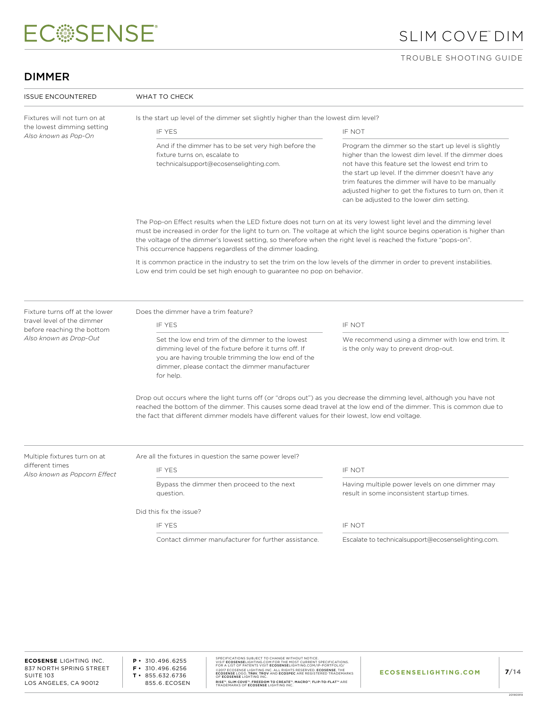# SLIM COVE™ DIM

#### TROUBLE SHOOTING GUIDE

### DIMMER

| <b>ISSUE ENCOUNTERED</b>                                   | WHAT TO CHECK                                                                                                                                                                                                                                                                                                                                                                                                                      |                                                                                                                                                                                                                                                                                                                                                                                     |  |
|------------------------------------------------------------|------------------------------------------------------------------------------------------------------------------------------------------------------------------------------------------------------------------------------------------------------------------------------------------------------------------------------------------------------------------------------------------------------------------------------------|-------------------------------------------------------------------------------------------------------------------------------------------------------------------------------------------------------------------------------------------------------------------------------------------------------------------------------------------------------------------------------------|--|
| Fixtures will not turn on at<br>the lowest dimming setting | Is the start up level of the dimmer set slightly higher than the lowest dim level?                                                                                                                                                                                                                                                                                                                                                 |                                                                                                                                                                                                                                                                                                                                                                                     |  |
| Also known as Pop-On                                       | IF YES                                                                                                                                                                                                                                                                                                                                                                                                                             | IF NOT                                                                                                                                                                                                                                                                                                                                                                              |  |
|                                                            | And if the dimmer has to be set very high before the<br>fixture turns on, escalate to<br>technicalsupport@ecosenselighting.com.                                                                                                                                                                                                                                                                                                    | Program the dimmer so the start up level is slightly<br>higher than the lowest dim level. If the dimmer does<br>not have this feature set the lowest end trim to<br>the start up level. If the dimmer doesn't have any<br>trim features the dimmer will have to be manually<br>adjusted higher to get the fixtures to turn on, then it<br>can be adjusted to the lower dim setting. |  |
|                                                            | The Pop-on Effect results when the LED fixture does not turn on at its very lowest light level and the dimming level<br>must be increased in order for the light to turn on. The voltage at which the light source begins operation is higher than<br>the voltage of the dimmer's lowest setting, so therefore when the right level is reached the fixture "pops-on".<br>This occurrence happens regardless of the dimmer loading. |                                                                                                                                                                                                                                                                                                                                                                                     |  |
|                                                            | It is common practice in the industry to set the trim on the low levels of the dimmer in order to prevent instabilities.<br>Low end trim could be set high enough to guarantee no pop on behavior.                                                                                                                                                                                                                                 |                                                                                                                                                                                                                                                                                                                                                                                     |  |
| Fixture turns off at the lower                             | Does the dimmer have a trim feature?                                                                                                                                                                                                                                                                                                                                                                                               |                                                                                                                                                                                                                                                                                                                                                                                     |  |
| travel level of the dimmer<br>before reaching the bottom   | IF YES                                                                                                                                                                                                                                                                                                                                                                                                                             | IF NOT                                                                                                                                                                                                                                                                                                                                                                              |  |
| Also known as Drop-Out                                     | Set the low end trim of the dimmer to the lowest<br>dimming level of the fixture before it turns off. If<br>you are having trouble trimming the low end of the<br>dimmer, please contact the dimmer manufacturer<br>for help.                                                                                                                                                                                                      | We recommend using a dimmer with low end trim. It<br>is the only way to prevent drop-out.                                                                                                                                                                                                                                                                                           |  |
|                                                            | Drop out occurs where the light turns off (or "drops out") as you decrease the dimming level, although you have not<br>reached the bottom of the dimmer. This causes some dead travel at the low end of the dimmer. This is common due to<br>the fact that different dimmer models have different values for their lowest, low end voltage.                                                                                        |                                                                                                                                                                                                                                                                                                                                                                                     |  |
| Multiple fixtures turn on at                               | Are all the fixtures in question the same power level?                                                                                                                                                                                                                                                                                                                                                                             |                                                                                                                                                                                                                                                                                                                                                                                     |  |
| different times<br>Also known as Popcorn Effect            | IF YES                                                                                                                                                                                                                                                                                                                                                                                                                             | IF NOT                                                                                                                                                                                                                                                                                                                                                                              |  |
|                                                            | Bypass the dimmer then proceed to the next<br>question.                                                                                                                                                                                                                                                                                                                                                                            | Having multiple power levels on one dimmer may<br>result in some inconsistent startup times.                                                                                                                                                                                                                                                                                        |  |
|                                                            | Did this fix the issue?                                                                                                                                                                                                                                                                                                                                                                                                            |                                                                                                                                                                                                                                                                                                                                                                                     |  |
|                                                            | IF YES                                                                                                                                                                                                                                                                                                                                                                                                                             | IF NOT                                                                                                                                                                                                                                                                                                                                                                              |  |
|                                                            |                                                                                                                                                                                                                                                                                                                                                                                                                                    |                                                                                                                                                                                                                                                                                                                                                                                     |  |

**P •** 310.496.6255 **F •** 310.496.6256 **T •** 855.632.6736 855.6.ECOSEN SPECIFICATIONS SUBJECT TO CHANGE WITHOUT NOTICE.<br>VISIT ECOSENSELIGHTING.COM FOR THE MOST CURRENT SPECIFICATIONS.<br>FOR A LIST OF PATENTS VISIT ECOSENSELIGHTING.COM/IP-PORTFOLIO/<br>@2017 ECOSENSE LIGHTING INC. ALL RIGHTS RESERV RISE™, SLIM COVE™, FREEDOM TO CREATE™, MACRO™, FLIP-TO-FLAT™ ARE<br>TRADEMARKS OF **ECOSENSE** LIGHTING INC.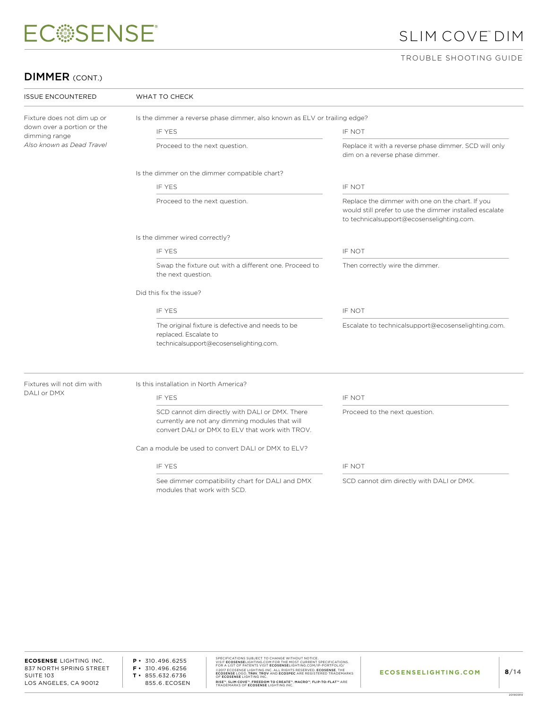# SLIM COVE™ DIM

#### TROUBLE SHOOTING GUIDE

### DIMMER (CONT.)

| <b>ISSUE ENCOUNTERED</b><br>WHAT TO CHECK   |                                                                                                                                                       |                                                                                                                                                          |  |  |  |
|---------------------------------------------|-------------------------------------------------------------------------------------------------------------------------------------------------------|----------------------------------------------------------------------------------------------------------------------------------------------------------|--|--|--|
| Fixture does not dim up or                  | Is the dimmer a reverse phase dimmer, also known as ELV or trailing edge?                                                                             |                                                                                                                                                          |  |  |  |
| down over a portion or the<br>dimming range | IF YES                                                                                                                                                | IF NOT                                                                                                                                                   |  |  |  |
| Also known as Dead Travel                   | Proceed to the next question.                                                                                                                         | Replace it with a reverse phase dimmer. SCD will only<br>dim on a reverse phase dimmer.                                                                  |  |  |  |
|                                             | Is the dimmer on the dimmer compatible chart?                                                                                                         |                                                                                                                                                          |  |  |  |
|                                             | IF YFS                                                                                                                                                | IF NOT                                                                                                                                                   |  |  |  |
|                                             | Proceed to the next question.                                                                                                                         | Replace the dimmer with one on the chart. If you<br>would still prefer to use the dimmer installed escalate<br>to technicalsupport@ecosenselighting.com. |  |  |  |
|                                             | Is the dimmer wired correctly?                                                                                                                        |                                                                                                                                                          |  |  |  |
|                                             | IF YES                                                                                                                                                | IF NOT                                                                                                                                                   |  |  |  |
|                                             | Swap the fixture out with a different one. Proceed to<br>the next question.                                                                           | Then correctly wire the dimmer.                                                                                                                          |  |  |  |
|                                             | Did this fix the issue?                                                                                                                               |                                                                                                                                                          |  |  |  |
|                                             | IF YES                                                                                                                                                | IF NOT                                                                                                                                                   |  |  |  |
|                                             | The original fixture is defective and needs to be<br>replaced. Escalate to<br>technicalsupport@ecosenselighting.com.                                  | Escalate to technicalsupport@ecosenselighting.com.                                                                                                       |  |  |  |
| Fixtures will not dim with                  | Is this installation in North America?                                                                                                                |                                                                                                                                                          |  |  |  |
| DALI or DMX                                 | IF YES                                                                                                                                                | IF NOT                                                                                                                                                   |  |  |  |
|                                             | SCD cannot dim directly with DALI or DMX. There<br>currently are not any dimming modules that will<br>convert DALI or DMX to ELV that work with TROV. | Proceed to the next question.                                                                                                                            |  |  |  |
|                                             | Can a module be used to convert DALI or DMX to ELV?                                                                                                   |                                                                                                                                                          |  |  |  |
|                                             | IF YES                                                                                                                                                | IF NOT                                                                                                                                                   |  |  |  |
|                                             |                                                                                                                                                       |                                                                                                                                                          |  |  |  |

See dimmer compatibility chart for DALI and DMX modules that work with SCD.

SCD cannot dim directly with DALI or DMX.

**ECOSENSE** LIGHTING INC. 837 NORTH SPRING STREET SUITE 103 LOS ANGELES, CA 90012

**P •** 310.496.6255 **F •** 310.496.6256 **T •** 855.632.6736 855.6.ECOSEN SPECIFICATIONS SUBJECT TO CHANGE WITHOUT NOTICE.<br>VISIT **ECOSENSE**LIGHTING.COM FOR THE MOST CURRENT SPECIFICATIONS.<br>FOR A LIST OF PATENTS VISIT **ECOSENSE**LIGHTING.COM/IP-PORTFOLIO/ ©2017 ECOSENSE LIGHTING INC. ALL RIGHTS RESERVED. **ECOSENSE**, THE<br>**ECOSENSE** LOGO, **TROV, TROV** AND **ECOSPEC** ARE REGISTERED TRADEMARKS<br>OF **ECOSENSE** LIGHTING INC. RISE™, SLIM COVE™, FREEDOM TO CREATE™, MACRO™, FLIP-TO-FLAT™ ARE<br>TRADEMARKS OF **ECOSENSE** LIGHTING INC.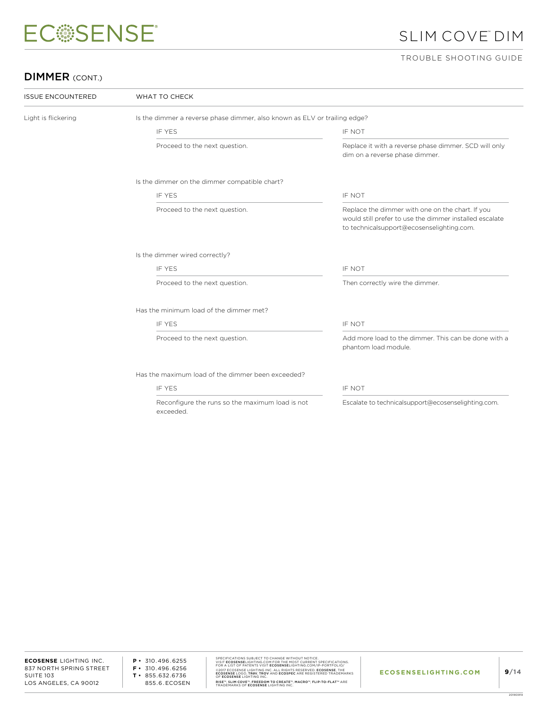# SLIM COVE™ DIM

#### TROUBLE SHOOTING GUIDE

### DIMMER (CONT.)

 $\overline{\phantom{a}}$ 

| <b>ISSUE ENCOUNTERED</b> | WHAT TO CHECK                                                             |                                                                                                                                                          |  |  |
|--------------------------|---------------------------------------------------------------------------|----------------------------------------------------------------------------------------------------------------------------------------------------------|--|--|
| Light is flickering      | Is the dimmer a reverse phase dimmer, also known as ELV or trailing edge? |                                                                                                                                                          |  |  |
|                          | <b>IF YES</b>                                                             | IF NOT                                                                                                                                                   |  |  |
|                          | Proceed to the next question.                                             | Replace it with a reverse phase dimmer. SCD will only<br>dim on a reverse phase dimmer.                                                                  |  |  |
|                          | Is the dimmer on the dimmer compatible chart?                             |                                                                                                                                                          |  |  |
|                          | <b>IF YES</b>                                                             | IF NOT                                                                                                                                                   |  |  |
|                          | Proceed to the next question.                                             | Replace the dimmer with one on the chart. If you<br>would still prefer to use the dimmer installed escalate<br>to technicalsupport@ecosenselighting.com. |  |  |
|                          | Is the dimmer wired correctly?                                            |                                                                                                                                                          |  |  |
|                          | <b>IF YES</b>                                                             | IF NOT                                                                                                                                                   |  |  |
|                          | Proceed to the next question.                                             | Then correctly wire the dimmer.                                                                                                                          |  |  |
|                          | Has the minimum load of the dimmer met?                                   |                                                                                                                                                          |  |  |
|                          | IF YES                                                                    | IF NOT                                                                                                                                                   |  |  |
|                          | Proceed to the next question.                                             | Add more load to the dimmer. This can be done with a<br>phantom load module.                                                                             |  |  |
|                          | Has the maximum load of the dimmer been exceeded?                         |                                                                                                                                                          |  |  |
|                          | <b>IF YES</b>                                                             | IF NOT                                                                                                                                                   |  |  |
|                          | Reconfigure the runs so the maximum load is not<br>hebeenxe               | Escalate to technicalsupport@ecosenselighting.com.                                                                                                       |  |  |

**ECOSENSE** LIGHTING INC. 837 NORTH SPRING STREET SUITE 103 LOS ANGELES, CA 90012

**P •** 310.496.6255 **F •** 310.496.6256 **T •** 855.632.6736 855.6.ECOSEN SPECIFICATIONS SUBJECT TO CHANGE WITHOUT NOTICE.<br>VISIT ECOSENSELIGHTING.COM FOR THE MOST CURRENT SPECIFICATIONS.<br>FOR A LIST OF PATENTS VISIT ECOSENSELIGHTING.COM/IP-PORTFOLIO/<br>@2017 ECOSENSE LIGHTING INC. ALL RIGHTS RESERV RISE™, SLIM COVE™, FREEDOM TO CREATE™, MACRO™, FLIP-TO-FLAT™ ARE<br>TRADEMARKS OF **ECOSENSE** LIGHTING INC.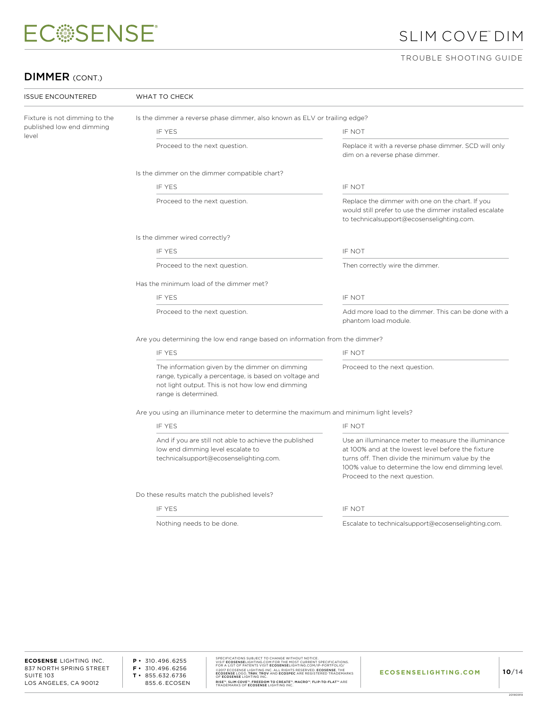# SLIM COVE™ DIM

#### TROUBLE SHOOTING GUIDE

### DIMMER (CONT.)

| <b>ISSUE ENCOUNTERED</b>           | WHAT TO CHECK                                                                                                                                                                         |                                                                                                                                                                                                                                                     |  |  |  |
|------------------------------------|---------------------------------------------------------------------------------------------------------------------------------------------------------------------------------------|-----------------------------------------------------------------------------------------------------------------------------------------------------------------------------------------------------------------------------------------------------|--|--|--|
| Fixture is not dimming to the      | Is the dimmer a reverse phase dimmer, also known as ELV or trailing edge?                                                                                                             |                                                                                                                                                                                                                                                     |  |  |  |
| published low end dimming<br>level | IF YES                                                                                                                                                                                | IF NOT                                                                                                                                                                                                                                              |  |  |  |
|                                    | Proceed to the next question.                                                                                                                                                         | Replace it with a reverse phase dimmer. SCD will only<br>dim on a reverse phase dimmer.                                                                                                                                                             |  |  |  |
|                                    | Is the dimmer on the dimmer compatible chart?                                                                                                                                         |                                                                                                                                                                                                                                                     |  |  |  |
|                                    | IF YES                                                                                                                                                                                | IF NOT                                                                                                                                                                                                                                              |  |  |  |
|                                    | Proceed to the next question.                                                                                                                                                         | Replace the dimmer with one on the chart. If you<br>would still prefer to use the dimmer installed escalate<br>to technicalsupport@ecosenselighting.com.                                                                                            |  |  |  |
|                                    | Is the dimmer wired correctly?                                                                                                                                                        |                                                                                                                                                                                                                                                     |  |  |  |
|                                    | IF YES                                                                                                                                                                                | IF NOT                                                                                                                                                                                                                                              |  |  |  |
|                                    | Proceed to the next question.                                                                                                                                                         | Then correctly wire the dimmer.                                                                                                                                                                                                                     |  |  |  |
|                                    | Has the minimum load of the dimmer met?                                                                                                                                               |                                                                                                                                                                                                                                                     |  |  |  |
|                                    | IF YES                                                                                                                                                                                | IF NOT                                                                                                                                                                                                                                              |  |  |  |
|                                    | Proceed to the next question.                                                                                                                                                         | Add more load to the dimmer. This can be done with a<br>phantom load module.                                                                                                                                                                        |  |  |  |
|                                    | Are you determining the low end range based on information from the dimmer?                                                                                                           |                                                                                                                                                                                                                                                     |  |  |  |
|                                    | IF YES                                                                                                                                                                                | IF NOT                                                                                                                                                                                                                                              |  |  |  |
|                                    | The information given by the dimmer on dimming<br>range, typically a percentage, is based on voltage and<br>not light output. This is not how low end dimming<br>range is determined. | Proceed to the next question.                                                                                                                                                                                                                       |  |  |  |
|                                    | Are you using an illuminance meter to determine the maximum and minimum light levels?                                                                                                 |                                                                                                                                                                                                                                                     |  |  |  |
|                                    | IF YES                                                                                                                                                                                | IF NOT                                                                                                                                                                                                                                              |  |  |  |
|                                    | And if you are still not able to achieve the published<br>low end dimming level escalate to<br>technicalsupport@ecosenselighting.com.                                                 | Use an illuminance meter to measure the illuminance<br>at 100% and at the lowest level before the fixture<br>turns off. Then divide the minimum value by the<br>100% value to determine the low end dimming level.<br>Proceed to the next question. |  |  |  |
|                                    | Do these results match the published levels?                                                                                                                                          |                                                                                                                                                                                                                                                     |  |  |  |
|                                    | IF YES                                                                                                                                                                                | IF NOT                                                                                                                                                                                                                                              |  |  |  |
|                                    | Nothing needs to be done.                                                                                                                                                             | Escalate to technicalsupport@ecosenselighting.com.                                                                                                                                                                                                  |  |  |  |

**P •** 310.496.6255 **F •** 310.496.6256 **T •** 855.632.6736 855.6.ECOSEN SPECIFICATIONS SUBJECT TO CHANGE WITHOUT NOTICE.<br>VISIT ECOSENSELIGHTING.COM FOR THE MOST CURRENT SPECIFICATIONS.<br>FOR A LIST OF PATENTS VISIT ECOSENSELIGHTING.COM/IP-PORTFOLIO/<br>@2017 ECOSENSE LIGHTING INC. ALL RIGHTS RESERV RISE™, SLIM COVE™, FREEDOM TO CREATE™, MACRO™, FLIP-TO-FLAT™ ARE<br>TRADEMARKS OF **ECOSENSE** LIGHTING INC.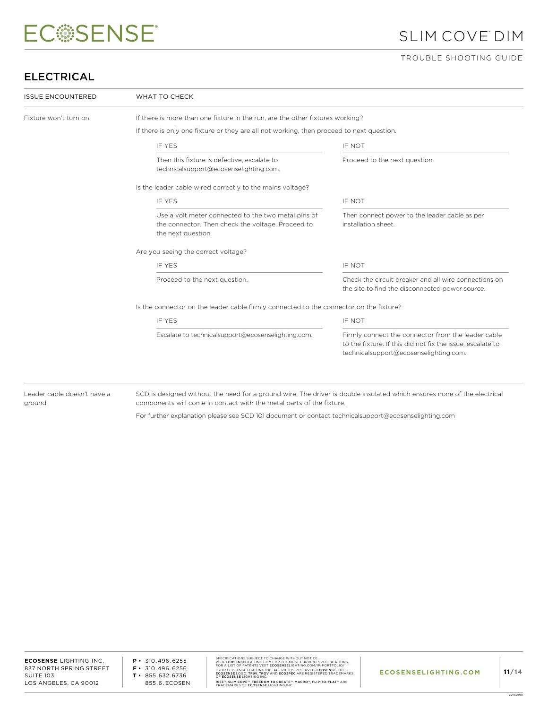# SLIM COVE™ DIM

#### TROUBLE SHOOTING GUIDE

## ELECTRICAL

| <b>ISSUE ENCOUNTERED</b> | WHAT TO CHECK                                                                                                                  |                                                                                                                                                            |  |  |  |
|--------------------------|--------------------------------------------------------------------------------------------------------------------------------|------------------------------------------------------------------------------------------------------------------------------------------------------------|--|--|--|
| Fixture won't turn on    | If there is more than one fixture in the run, are the other fixtures working?                                                  |                                                                                                                                                            |  |  |  |
|                          | If there is only one fixture or they are all not working, then proceed to next question.                                       |                                                                                                                                                            |  |  |  |
|                          | <b>IF YES</b>                                                                                                                  | IF NOT                                                                                                                                                     |  |  |  |
|                          | Then this fixture is defective, escalate to<br>technicalsupport@ecosenselighting.com.                                          | Proceed to the next question.                                                                                                                              |  |  |  |
|                          | Is the leader cable wired correctly to the mains voltage?                                                                      |                                                                                                                                                            |  |  |  |
|                          | <b>IF YES</b>                                                                                                                  | IF NOT                                                                                                                                                     |  |  |  |
|                          | Use a volt meter connected to the two metal pins of<br>the connector. Then check the voltage. Proceed to<br>the next question. | Then connect power to the leader cable as per<br>installation sheet.                                                                                       |  |  |  |
|                          | Are you seeing the correct voltage?                                                                                            |                                                                                                                                                            |  |  |  |
|                          | <b>IF YES</b>                                                                                                                  | IF NOT                                                                                                                                                     |  |  |  |
|                          | Proceed to the next question.                                                                                                  | Check the circuit breaker and all wire connections on<br>the site to find the disconnected power source.                                                   |  |  |  |
|                          | Is the connector on the leader cable firmly connected to the connector on the fixture?                                         |                                                                                                                                                            |  |  |  |
|                          | <b>IF YES</b>                                                                                                                  | IF NOT                                                                                                                                                     |  |  |  |
|                          | Escalate to technicalsupport@ecosenselighting.com.                                                                             | Firmly connect the connector from the leader cable<br>to the fixture. If this did not fix the issue, escalate to<br>technicalsupport@ecosenselighting.com. |  |  |  |

Leader cable doesn't have a ground

SCD is designed without the need for a ground wire. The driver is double insulated which ensures none of the electrical components will come in contact with the metal parts of the fixture.

For further explanation please see SCD 101 document or contact technicalsupport@ecosenselighting.com

SPECIFICATIONS SUBJECT TO CHANGE WITHOUT NOTICE.<br>VISIT **ECOSENSE**LIGHTING.COM FOR THE MOST CURRENT SPECIFICATIONS.<br>FOR A LIST OF PATENTS VISIT **ECOSENSE**LIGHTING.COM/IP-PORTFOLIO/ ©2017 ECOSENSE LIGHTING INC. ALL RIGHTS RESERVED. **ECOSENSE**, THE<br>**ECOSENSE** LOGO, **TROV, TROV** AND **ECOSPEC** ARE REGISTERED TRADEMARKS<br>OF **ECOSENSE** LIGHTING INC. RISE™, SLIM COVE™, FREEDOM TO CREATE™, MACRO™, FLIP-TO-FLAT™ ARE<br>TRADEMARKS OF **ECOSENSE** LIGHTING INC.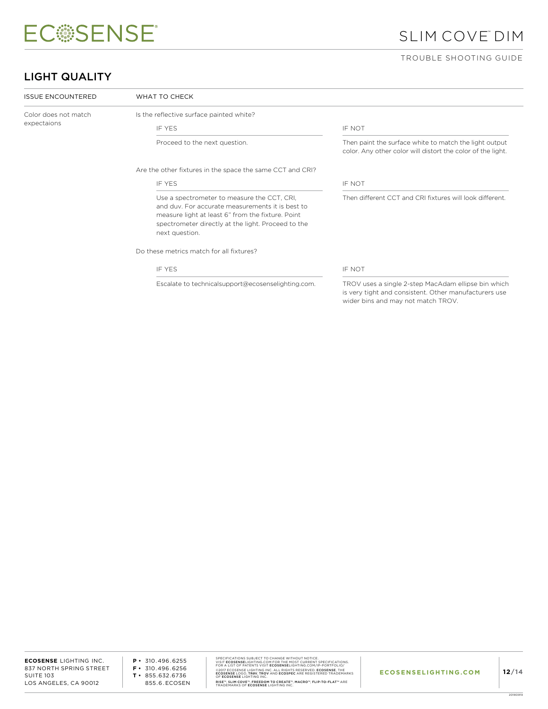## SLIM COVE™ DIM

#### TROUBLE SHOOTING GUIDE

### LIGHT QUALITY

| <b>ISSUE ENCOUNTERED</b> | WHAT TO CHECK                                                                                                                                                                                                                |                                                                                                                                                    |  |
|--------------------------|------------------------------------------------------------------------------------------------------------------------------------------------------------------------------------------------------------------------------|----------------------------------------------------------------------------------------------------------------------------------------------------|--|
| Color does not match     | Is the reflective surface painted white?                                                                                                                                                                                     |                                                                                                                                                    |  |
| expectaions              | IF YFS                                                                                                                                                                                                                       | <b>IF NOT</b>                                                                                                                                      |  |
|                          | Proceed to the next question.                                                                                                                                                                                                | Then paint the surface white to match the light output<br>color. Any other color will distort the color of the light.                              |  |
|                          | Are the other fixtures in the space the same CCT and CRI?                                                                                                                                                                    |                                                                                                                                                    |  |
|                          | IF YES                                                                                                                                                                                                                       | <b>IF NOT</b>                                                                                                                                      |  |
|                          | Use a spectrometer to measure the CCT, CRI,<br>and duy. For accurate measurements it is best to<br>measure light at least 6" from the fixture. Point<br>spectrometer directly at the light. Proceed to the<br>next question. | Then different CCT and CRI fixtures will look different.                                                                                           |  |
|                          | Do these metrics match for all fixtures?                                                                                                                                                                                     |                                                                                                                                                    |  |
|                          | IF YES                                                                                                                                                                                                                       | <b>IF NOT</b>                                                                                                                                      |  |
|                          | Escalate to technicalsupport@ecosenselighting.com.                                                                                                                                                                           | TROV uses a single 2-step MacAdam ellipse bin which<br>is very tight and consistent. Other manufacturers use<br>wider bins and may not match TROV. |  |

**ECOSENSE** LIGHTING INC. 837 NORTH SPRING STREET SUITE 103 LOS ANGELES, CA 90012

**P •** 310.496.6255 **F •** 310.496.6256 **T •** 855.632.6736 855.6.ECOSEN SPECIFICATIONS SUBJECT TO CHANGE WITHOUT NOTICE.<br>VISIT ECOSENSELIGHTING.COM FOR THE MOST CURRENT SPECIFICATIONS.<br>FOR A LIST OF PATENTS VISIT ECOSENSELIGHTING.COM/IP-PORTFOLIO/<br>@2017 ECOSENSE LIGHTING INC. ALL RIGHTS RESERV RISE™, SLIM COVE™, FREEDOM TO CREATE™, MACRO™, FLIP-TO-FLAT™ ARE<br>TRADEMARKS OF **ECOSENSE** LIGHTING INC.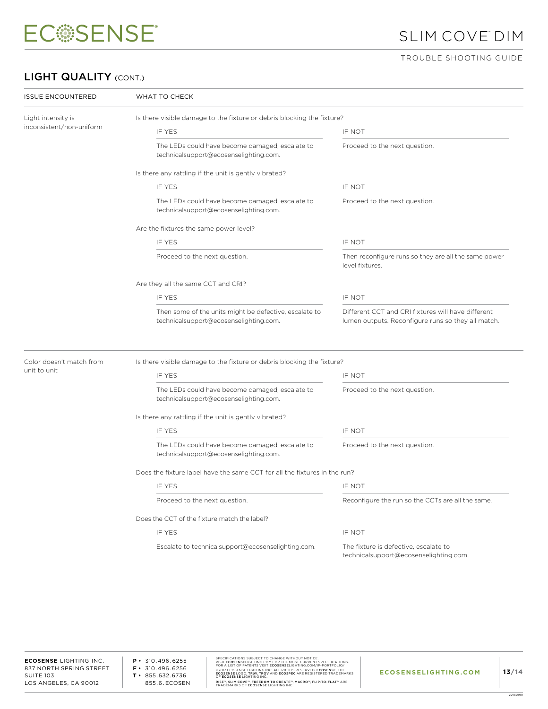

## SLIM COVE™ DIM

#### TROUBLE SHOOTING GUIDE

### LIGHT QUALITY (CONT.)

| <b>ISSUE ENCOUNTERED</b>                 | WHAT TO CHECK                                                                                                                                                                                                |                                                                                 |  |  |
|------------------------------------------|--------------------------------------------------------------------------------------------------------------------------------------------------------------------------------------------------------------|---------------------------------------------------------------------------------|--|--|
| Light intensity is                       | Is there visible damage to the fixture or debris blocking the fixture?                                                                                                                                       |                                                                                 |  |  |
| inconsistent/non-uniform                 | IF YES                                                                                                                                                                                                       | IF NOT                                                                          |  |  |
|                                          | The LEDs could have become damaged, escalate to<br>technicalsupport@ecosenselighting.com.                                                                                                                    | Proceed to the next question.                                                   |  |  |
|                                          | Is there any rattling if the unit is gently vibrated?                                                                                                                                                        |                                                                                 |  |  |
|                                          | IF YES                                                                                                                                                                                                       | IF NOT                                                                          |  |  |
|                                          | The LEDs could have become damaged, escalate to<br>technicalsupport@ecosenselighting.com.                                                                                                                    | Proceed to the next question.                                                   |  |  |
|                                          | Are the fixtures the same power level?                                                                                                                                                                       |                                                                                 |  |  |
|                                          | IF YES                                                                                                                                                                                                       | IF NOT                                                                          |  |  |
|                                          | Proceed to the next question.                                                                                                                                                                                | Then reconfigure runs so they are all the same power<br>level fixtures.         |  |  |
|                                          | Are they all the same CCT and CRI?                                                                                                                                                                           |                                                                                 |  |  |
|                                          | IF YES                                                                                                                                                                                                       | IF NOT                                                                          |  |  |
|                                          | Then some of the units might be defective, escalate to<br>Different CCT and CRI fixtures will have different<br>technicalsupport@ecosenselighting.com.<br>lumen outputs. Reconfigure runs so they all match. |                                                                                 |  |  |
| Color doesn't match from<br>unit to unit | Is there visible damage to the fixture or debris blocking the fixture?                                                                                                                                       |                                                                                 |  |  |
|                                          | IF YES                                                                                                                                                                                                       | IF NOT                                                                          |  |  |
|                                          | The LEDs could have become damaged, escalate to<br>technicalsupport@ecosenselighting.com.                                                                                                                    | Proceed to the next question.                                                   |  |  |
|                                          | Is there any rattling if the unit is gently vibrated?                                                                                                                                                        |                                                                                 |  |  |
|                                          | IF YES                                                                                                                                                                                                       | IF NOT                                                                          |  |  |
|                                          | The LEDs could have become damaged, escalate to<br>technicalsupport@ecosenselighting.com.                                                                                                                    | Proceed to the next question.                                                   |  |  |
|                                          | Does the fixture label have the same CCT for all the fixtures in the run?                                                                                                                                    |                                                                                 |  |  |
|                                          | IF YES                                                                                                                                                                                                       | IF NOT                                                                          |  |  |
|                                          | Proceed to the next question.                                                                                                                                                                                | Reconfigure the run so the CCTs are all the same.                               |  |  |
|                                          | Does the CCT of the fixture match the label?                                                                                                                                                                 |                                                                                 |  |  |
|                                          | IF YES                                                                                                                                                                                                       | IF NOT                                                                          |  |  |
|                                          | Escalate to technicalsupport@ecosenselighting.com.                                                                                                                                                           | The fixture is defective, escalate to<br>technicalsupport@ecosenselighting.com. |  |  |

**P •** 310.496.6255 **F •** 310.496.6256 **T •** 855.632.6736 855.6.ECOSEN SPECIFICATIONS SUBJECT TO CHANGE WITHOUT NOTICE.<br>VISIT ECOSENSELIGHTING.COM FOR THE MOST CURRENT SPECIFICATIONS.<br>FOR A LIST OF PATENTS VISIT ECOSENSELIGHTING.COM/IP-PORTFOLIO/<br>@2017 ECOSENSE LIGHTING INC. ALL RIGHTS RESERV RISE™, SLIM COVE™, FREEDOM TO CREATE™, MACRO™, FLIP-TO-FLAT™ ARE<br>TRADEMARKS OF **ECOSENSE** LIGHTING INC.